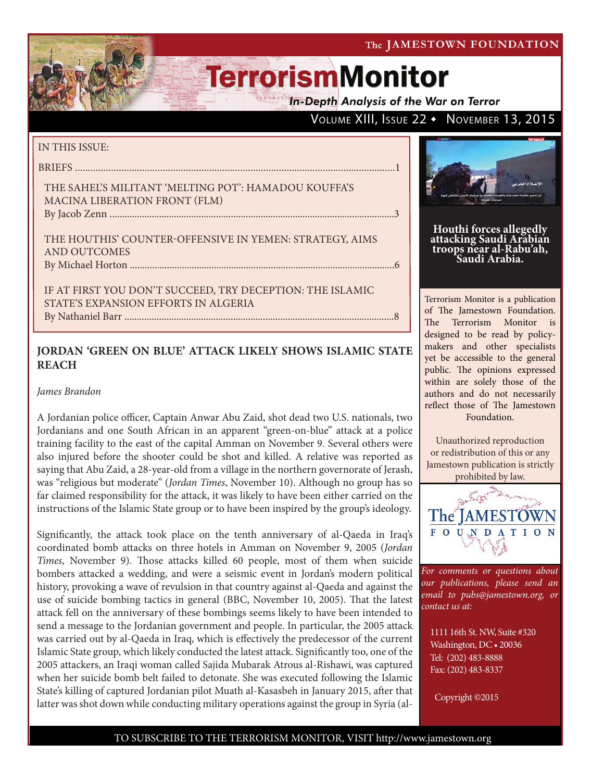The JAMESTOWN FOUNDATION

# **TerrorismMonitor**

**In-Depth Analysis of the War on Terror** 

### VOLUME XIII, ISSUE 22 • NOVEMBER 13, 2015

### IN THIS ISSUE:

BRIEFS ............................................................................................................................1

THE SAHEL'S MILITANT 'MELTING POT': HAMADOU KOUFFA'S MACINA LIBERATION FRONT (FLM) By Jacob Zenn ...................................................................................................................3

THE HOUTHIS' COUNTER-OFFENSIVE IN YEMEN: STRATEGY, AIMS AND OUTCOMES By Michael Horton ...........................................................................................................6

IF AT FIRST YOU DON'T SUCCEED, TRY DECEPTION: THE ISLAMIC STATE'S EXPANSION EFFORTS IN ALGERIA By Nathaniel Barr .............................................................................................................8

### **JORDAN 'GREEN ON BLUE' ATTACK LIKELY SHOWS ISLAMIC STATE REACH**

### *James Brandon*

A Jordanian police officer, Captain Anwar Abu Zaid, shot dead two U.S. nationals, two Jordanians and one South African in an apparent "green-on-blue" attack at a police training facility to the east of the capital Amman on November 9. Several others were also injured before the shooter could be shot and killed. A relative was reported as saying that Abu Zaid, a 28-year-old from a village in the northern governorate of Jerash, was "religious but moderate" (*[Jordan Times](http://www.jordantimes.com/news/local/policeman-kills-five-injures-six-police-training-centre)*, November 10). Although no group has so far claimed responsibility for the attack, it was likely to have been either carried on the instructions of the Islamic State group or to have been inspired by the group's ideology.

Significantly, the attack took place on the tenth anniversary of al-Qaeda in Iraq's coordinated bomb attacks on three hotels in Amman on November 9, 2005 (*[Jordan](http://www.jordantimes.com/news/local/10-years-after-amman-bombings-war-terror-remains-our-war%E2%80%99) [Times](http://www.jordantimes.com/news/local/10-years-after-amman-bombings-war-terror-remains-our-war%E2%80%99)*, November 9). Those attacks killed 60 people, most of them when suicide bombers attacked a wedding, and were a seismic event in Jordan's modern political history, provoking a wave of revulsion in that country against al-Qaeda and against the use of suicide bombing tactics in general [\(BBC](http://news.bbc.co.uk/2/hi/middle_east/4426458.stm), November 10, 2005). That the latest attack fell on the anniversary of these bombings seems likely to have been intended to send a message to the Jordanian government and people. In particular, the 2005 attack was carried out by al-Qaeda in Iraq, which is effectively the predecessor of the current Islamic State group, which likely conducted the latest attack. Significantly too, one of the 2005 attackers, an Iraqi woman called Sajida Mubarak Atrous al-Rishawi, was captured when her suicide bomb belt failed to detonate. She was executed following the Islamic State's killing of captured Jordanian pilot Muath al-Kasasbeh in January 2015, after that latter was shot down while conducting military operations against the group in Syria ([al-](http://www.al-monitor.com/pulse/originals/2015/01/jordan-executions-mixed-response.html)



**Houthi forces allegedly attacking Saudi Arabian troops near al-Rabu'ah, Saudi Arabia.**

Terrorism Monitor is a publication of The Jamestown Foundation. The Terrorism Monitor is designed to be read by policymakers and other specialists yet be accessible to the general public. The opinions expressed within are solely those of the authors and do not necessarily reflect those of The Jamestown Foundation.

Unauthorized reproduction or redistribution of this or any Jamestown publication is strictly prohibited by law.



*For comments or questions about our publications, please send an email to pubs@jamestown.org, or contact us at:* 

1111 16th St. NW, Suite #320 Washington, DC • 20036 Tel: (202) 483-8888 Fax: (202) 483-8337

Copyright ©2015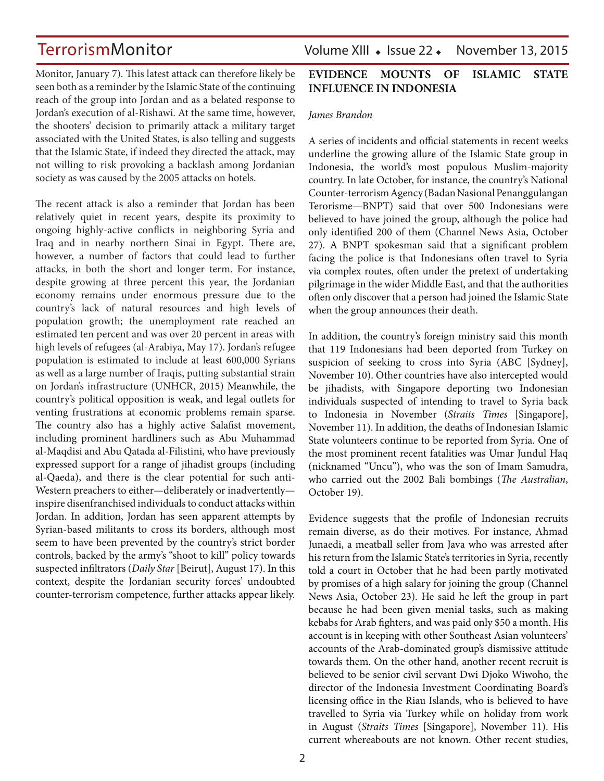[Monitor,](http://www.al-monitor.com/pulse/originals/2015/01/jordan-executions-mixed-response.html) January 7). This latest attack can therefore likely be seen both as a reminder by the Islamic State of the continuing reach of the group into Jordan and as a belated response to Jordan's execution of al-Rishawi. At the same time, however, the shooters' decision to primarily attack a military target associated with the United States, is also telling and suggests that the Islamic State, if indeed they directed the attack, may not willing to risk provoking a backlash among Jordanian society as was caused by the 2005 attacks on hotels.

The recent attack is also a reminder that Jordan has been relatively quiet in recent years, despite its proximity to ongoing highly-active conflicts in neighboring Syria and Iraq and in nearby northern Sinai in Egypt. There are, however, a number of factors that could lead to further attacks, in both the short and longer term. For instance, despite growing at three percent this year, the Jordanian economy remains under enormous pressure due to the country's lack of natural resources and high levels of population growth; the unemployment rate reached an estimated ten percent and was over 20 percent in areas with high levels of refugees [\(al-Arabiya,](http://english.alarabiya.net/en/business/economy/2015/05/17/Jordan-unemployment-soars-in-areas-with-high-refugee-influx.html) May 17). Jordan's refugee population is estimated to include at least 600,000 Syrians as well as a large number of Iraqis, putting substantial strain on Jordan's infrastructure [\(UNHCR,](http://www.unhcr.org/pages/49e486566.html) 2015) Meanwhile, the country's political opposition is weak, and legal outlets for venting frustrations at economic problems remain sparse. The country also has a highly active Salafist movement, including prominent hardliners such as Abu Muhammad al-Maqdisi and Abu Qatada al-Filistini, who have previously expressed support for a range of jihadist groups (including al-Qaeda), and there is the clear potential for such anti-Western preachers to either—deliberately or inadvertently inspire disenfranchised individuals to conduct attacks within Jordan. In addition, Jordan has seen apparent attempts by Syrian-based militants to cross its borders, although most seem to have been prevented by the country's strict border controls, backed by the army's "shoot to kill" policy towards suspected infiltrators (*[Daily Star](http://www.dailystar.com.lb/News/Middle-East/2015/Aug-17/311412-jordan-says-militants-trying-to-sneak-in-from-syria.ashx)* [Beirut], August 17). In this context, despite the Jordanian security forces' undoubted counter-terrorism competence, further attacks appear likely.

TerrorismMonitor Volume XIII • Issue 22 • November 13, 2015

### **EVIDENCE MOUNTS OF ISLAMIC STATE INFLUENCE IN INDONESIA**

#### *James Brandon*

A series of incidents and official statements in recent weeks underline the growing allure of the Islamic State group in Indonesia, the world's most populous Muslim-majority country. In late October, for instance, the country's National Counter-terrorism Agency (Badan Nasional Penanggulangan Terorisme—BNPT) said that over 500 Indonesians were believed to have joined the group, although the police had only identified 200 of them ([Channel News Asia](http://www.channelnewsasia.com/news/asiapacific/indonesia-found-out-isis/2221116.html), October 27). A BNPT spokesman said that a significant problem facing the police is that Indonesians often travel to Syria via complex routes, often under the pretext of undertaking pilgrimage in the wider Middle East, and that the authorities often only discover that a person had joined the Islamic State when the group announces their death.

In addition, the country's foreign ministry said this month that 119 Indonesians had been deported from Turkey on suspicion of seeking to cross into Syria [\(ABC](http://www.abc.net.au/news/2015-11-10/more-than-100-indonesian-is-sympathisers-deported-from-turkey/6927858) [Sydney], November 10). Other countries have also intercepted would be jihadists, with Singapore deporting two Indonesian individuals suspected of intending to travel to Syria back to Indonesia in November (*[Straits Times](http://www.straitstimes.com/asia/se-asia/2-indonesians-who-were-denied-entry-into-spore-due-to-plans-to-join-isis-allowed-to)* [Singapore], November 11). In addition, the deaths of Indonesian Islamic State volunteers continue to be reported from Syria. One of the most prominent recent fatalities was Umar Jundul Haq (nicknamed "Uncu"), who was the son of Imam Samudra, who carried out the 2002 Bali bombings (*[The Australian](http://www.theaustralian.com.au/in-depth/terror/killed-in-syria-son-of-bali-bomber-imam-samudra/story-fnpdbcmu-1227573564509?sv=4b86f8dc25250b17e293e1accdaa4376)*, October 19).

Evidence suggests that the profile of Indonesian recruits remain diverse, as do their motives. For instance, Ahmad Junaedi, a meatball seller from Java who was arrested after his return from the Islamic State's territories in Syria, recently told a court in October that he had been partly motivated by promises of a high salary for joining the group ([Channel](http://www.channelnewsasia.com/news/asiapacific/indonesia-hopes/2212486.html)  [News Asia](http://www.channelnewsasia.com/news/asiapacific/indonesia-hopes/2212486.html), October 23). He said he left the group in part because he had been given menial tasks, such as making kebabs for Arab fighters, and was paid only \$50 a month. His account is in keeping with other Southeast Asian volunteers' accounts of the Arab-dominated group's dismissive attitude towards them. On the other hand, another recent recruit is believed to be senior civil servant Dwi Djoko Wiwoho, the director of the Indonesia Investment Coordinating Board's licensing office in the Riau Islands, who is believed to have travelled to Syria via Turkey while on holiday from work in August (*[Straits Times](http://www.straitstimes.com/asia/se-asia/senior-indonesian-civil-servant-abandons-post-to-join-isis)* [Singapore], November 11). His current whereabouts are not known. Other recent studies,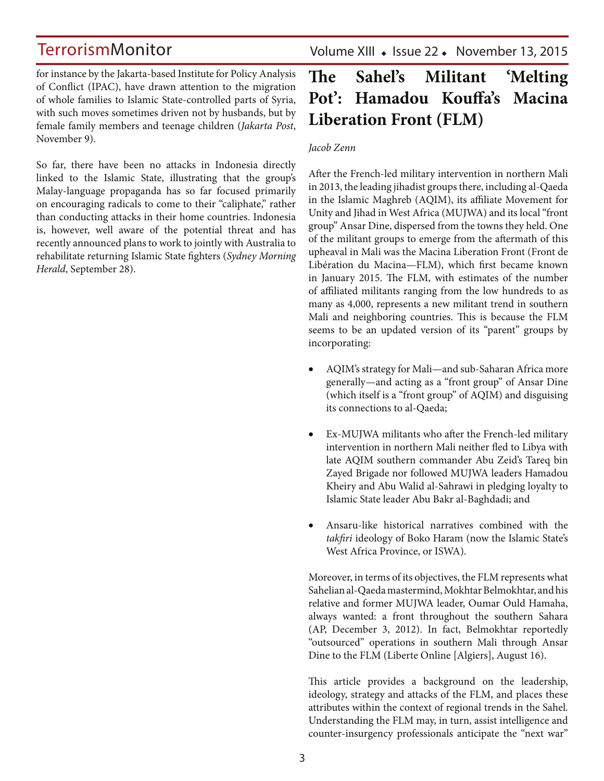for instance by the Jakarta-based Institute for Policy Analysis of Conflict (IPAC), have drawn attention to the migration of whole families to Islamic State-controlled parts of Syria, with such moves sometimes driven not by husbands, but by female family members and teenage children (*[Jakarta Post](http://www.thejakartapost.com/news/2015/11/09/is-targeting-recruitment-method-families-expert.html)*, November 9).

So far, there have been no attacks in Indonesia directly linked to the Islamic State, illustrating that the group's Malay-language propaganda has so far focused primarily on encouraging radicals to come to their "caliphate," rather than conducting attacks in their home countries. Indonesia is, however, well aware of the potential threat and has recently announced plans to work to jointly with Australia to rehabilitate returning Islamic State fighters (*[Sydney Morning](http://www.smh.com.au/federal-politics/political-news/australia-and-indonesia-to-work-together-to-rehabilitate-hundreds-of-convicted-terrorists-20150927-gjw62c.html)  [Herald](http://www.smh.com.au/federal-politics/political-news/australia-and-indonesia-to-work-together-to-rehabilitate-hundreds-of-convicted-terrorists-20150927-gjw62c.html)*, September 28).

Volume XIII · Issue 22 · November 13, 2015

## **The Sahel's Militant 'Melting Pot': Hamadou Kouffa's Macina Liberation Front (FLM)**

### *Jacob Zenn*

After the French-led military intervention in northern Mali in 2013, the leading jihadist groups there, including al-Qaeda in the Islamic Maghreb (AQIM), its affiliate Movement for Unity and Jihad in West Africa (MUJWA) and its local "front group" Ansar Dine, dispersed from the towns they held. One of the militant groups to emerge from the aftermath of this upheaval in Mali was the Macina Liberation Front (Front de Libération du Macina—FLM), which first became known in January 2015. The FLM, with estimates of the number of affiliated militants ranging from the low hundreds to as many as 4,000, represents a new militant trend in southern Mali and neighboring countries. This is because the FLM seems to be an updated version of its "parent" groups by incorporating:

- • AQIM's strategy for Mali—and sub-Saharan Africa more generally—and acting as a "front group" of Ansar Dine (which itself is a "front group" of AQIM) and disguising its connections to al-Qaeda;
- Ex-MUJWA militants who after the French-led military intervention in northern Mali neither fled to Libya with late AQIM southern commander Abu Zeid's Tareq bin Zayed Brigade nor followed MUJWA leaders Hamadou Kheiry and Abu Walid al-Sahrawi in pledging loyalty to Islamic State leader Abu Bakr al-Baghdadi; and
- Ansaru-like historical narratives combined with the *takfiri* ideology of Boko Haram (now the Islamic State's West Africa Province, or ISWA).

Moreover, in terms of its objectives, the FLM represents what Sahelian al-Qaeda mastermind, Mokhtar Belmokhtar, and his relative and former MUJWA leader, Oumar Ould Hamaha, always wanted: a front throughout the southern Sahara ([AP,](http://www.cbsnews.com/news/head-of-mali-terror-group-quits-al-qaeda/) December 3, 2012). In fact, Belmokhtar reportedly "outsourced" operations in southern Mali through Ansar Dine to the FLM (Liberte Online [Algiers], August 16).

This article provides a background on the leadership, ideology, strategy and attacks of the FLM, and places these attributes within the context of regional trends in the Sahel. Understanding the FLM may, in turn, assist intelligence and counter-insurgency professionals anticipate the "next war"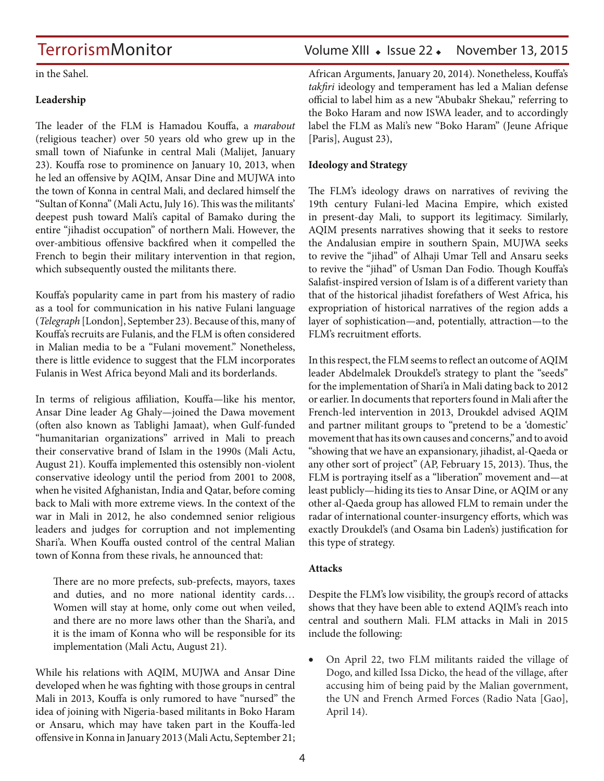in the Sahel.

#### **Leadership**

The leader of the FLM is Hamadou Kouffa, a *marabout* (religious teacher) over 50 years old who grew up in the small town of Niafunke in central Mali (Malijet, January 23). Kouffa rose to prominence on January 10, 2013, when he led an offensive by AQIM, Ansar Dine and MUJWA into the town of Konna in central Mali, and declared himself the "Sultan of Konna" ([Mali Actu,](http://maliactu.info/societe/attentat-terroriste-dans-la-region-de-sikasso-des-pieds-nus-reconvertis-en-jihadistes-actifs) July 16). This was the militants' deepest push toward Mali's capital of Bamako during the entire "jihadist occupation" of northern Mali. However, the over-ambitious offensive backfired when it compelled the French to begin their military intervention in that region, which subsequently ousted the militants there.

Kouffa's popularity came in part from his mastery of radio as a tool for communication in his native Fulani language (*[Telegraph](http://www.telegraph.co.uk/news/worldnews/africaandindianocean/mali/11884570/Mali-Islamists-armed-group-push-fighting-beyond-conflict-hit-north.html)* [London], September 23). Because of this, many of Kouffa's recruits are Fulanis, and the FLM is often considered in Malian media to be a "Fulani movement." Nonetheless, there is little evidence to suggest that the FLM incorporates Fulanis in West Africa beyond Mali and its borderlands.

In terms of religious affiliation, Kouffa—like his mentor, Ansar Dine leader Ag Ghaly—joined the Dawa movement (often also known as Tablighi Jamaat), when Gulf-funded "humanitarian organizations" arrived in Mali to preach their conservative brand of Islam in the 1990s ([Mali Actu,](http://maliactu.net/mali-comment-la-dawa-a-lorigine-tres-moderee-a-bascule-vers-le-radicalisme-au-mali-iyad-ag-ghaly-figure-emblematique-de-la-secte-et-amadou-koufa-son-representant-dans-la-regio/) August 21). Kouffa implemented this ostensibly non-violent conservative ideology until the period from 2001 to 2008, when he visited Afghanistan, India and Qatar, before coming back to Mali with more extreme views. In the context of the war in Mali in 2012, he also condemned senior religious leaders and judges for corruption and not implementing Shari'a. When Kouffa ousted control of the central Malian town of Konna from these rivals, he announced that:

There are no more prefects, sub-prefects, mayors, taxes and duties, and no more national identity cards… Women will stay at home, only come out when veiled, and there are no more laws other than the Shari'a, and it is the imam of Konna who will be responsible for its implementation ([Mali Actu](http://maliactu.net/mali-comment-la-dawa-a-lorigine-tres-moderee-a-bascule-vers-le-radicalisme-au-mali-iyad-ag-ghaly-figure-emblematique-de-la-secte-et-amadou-koufa-son-representant-dans-la-regio/), August 21).

While his relations with AQIM, MUJWA and Ansar Dine developed when he was fighting with those groups in central Mali in 2013, Kouffa is only rumored to have "nursed" the idea of joining with Nigeria-based militants in Boko Haram or Ansaru, which may have taken part in the Kouffa-led offensive in Konna in January 2013 ([Mali Actu](http://maliactu.net/mali-sort-dhamadoun-kouffa-mort-ou-vivant/), September 21;

### TerrorismMonitor Volume XIII • Issue 22 • November 13, 2015

[African Arguments,](http://africanarguments.org/2014/01/20/nigerians-in-gao-was-boko-haram-active-in-northern-mali-by-jacob-zenn/) January 20, 2014). Nonetheless, Kouffa's *takfiri* ideology and temperament has led a Malian defense official to label him as a new "Abubakr Shekau," referring to the Boko Haram and now ISWA leader, and to accordingly label the FLM as Mali's new "Boko Haram" (Jeune Afrique [Paris], August 23),

#### **Ideology and Strategy**

The FLM's ideology draws on narratives of reviving the 19th century Fulani-led Macina Empire, which existed in present-day Mali, to support its legitimacy. Similarly, AQIM presents narratives showing that it seeks to restore the Andalusian empire in southern Spain, MUJWA seeks to revive the "jihad" of Alhaji Umar Tell and Ansaru seeks to revive the "jihad" of Usman Dan Fodio. Though Kouffa's Salafist-inspired version of Islam is of a different variety than that of the historical jihadist forefathers of West Africa, his expropriation of historical narratives of the region adds a layer of sophistication—and, potentially, attraction—to the FLM's recruitment efforts.

In this respect, the FLM seems to reflect an outcome of AQIM leader Abdelmalek Droukdel's strategy to plant the "seeds" for the implementation of Shari'a in Mali dating back to 2012 or earlier. In documents that reporters found in Mali after the French-led intervention in 2013, Droukdel advised AQIM and partner militant groups to "pretend to be a 'domestic' movement that has its own causes and concerns," and to avoid "showing that we have an expansionary, jihadist, al-Qaeda or any other sort of project" ([AP,](http://hosted.ap.org/specials/interactives/_international/_pdfs/al-qaida-manifesto.pdf) February 15, 2013). Thus, the FLM is portraying itself as a "liberation" movement and—at least publicly—hiding its ties to Ansar Dine, or AQIM or any other al-Qaeda group has allowed FLM to remain under the radar of international counter-insurgency efforts, which was exactly Droukdel's (and Osama bin Laden's) justification for this type of strategy.

### **Attacks**

Despite the FLM's low visibility, the group's record of attacks shows that they have been able to extend AQIM's reach into central and southern Mali. FLM attacks in Mali in 2015 include the following:

• On April 22, two FLM militants raided the village of Dogo, and killed Issa Dicko, the head of the village, after accusing him of being paid by the Malian government, the UN and French Armed Forces (Radio Nata [Gao], April 14).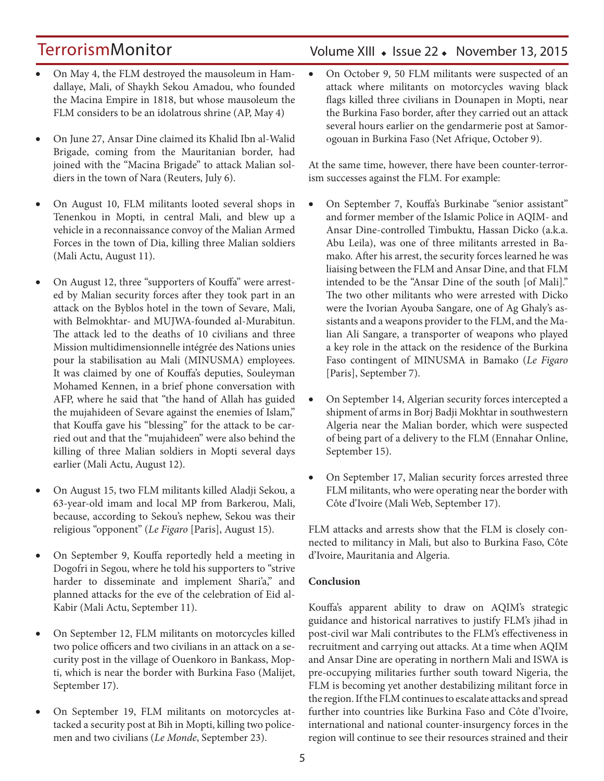- On May 4, the FLM destroyed the mausoleum in Hamdallaye, Mali, of Shaykh Sekou Amadou, who founded the Macina Empire in 1818, but whose mausoleum the FLM considers to be an idolatrous shrine [\(AP,](http://www.usnews.com/news/world/articles/2015/05/04/jihadists-destroy-proposed-world-heritage-site-in-mali) May 4)
- On June 27, Ansar Dine claimed its Khalid Ibn al-Walid Brigade, coming from the Mauritanian border, had joined with the "Macina Brigade" to attack Malian soldiers in the town of Nara ([Reuters,](http://af.reuters.com/article/maliNews/idAFL8N0ZM46W20150706) July 6).
- On August 10, FLM militants looted several shops in Tenenkou in Mopti, in central Mali, and blew up a vehicle in a reconnaissance convoy of the Malian Armed Forces in the town of Dia, killing three Malian soldiers ([Mali Actu,](http://maliactu.net/mali-cest-intervenu-hier-dans-la-localite-de-tenenkou-un-vehicule-de-larmee-saute-sur-une-mine-faisant-3-morts-et-3-blesses-graves/) August 11).
- On August 12, three "supporters of Kouffa" were arrested by Malian security forces after they took part in an attack on the Byblos hotel in the town of Sevare, Mali, with Belmokhtar- and MUJWA-founded al-Murabitun. The attack led to the deaths of 10 civilians and three Mission multidimensionnelle intégrée des Nations unies pour la stabilisation au Mali (MINUSMA) employees. It was claimed by one of Kouffa's deputies, Souleyman Mohamed Kennen, in a brief phone conversation with AFP, where he said that "the hand of Allah has guided the mujahideen of Sevare against the enemies of Islam," that Kouffa gave his "blessing" for the attack to be carried out and that the "mujahideen" were also behind the killing of three Malian soldiers in Mopti several days earlier [\(Mali Actu](http://maliactu.net/mali-le-flm-revendique-la-prise-dotage-de-sevare-qui-est-hamadoun-kouffa/), August 12).
- On August 15, two FLM militants killed Aladji Sekou, a 63-year-old imam and local MP from Barkerou, Mali, because, according to Sekou's nephew, Sekou was their religious "opponent" (*[Le Figaro](http://www.lefigaro.fr/flash-actu/2015/08/14/97001-20150814FILWWW00290-maliun-imam-tue-par-des-djihadistes-presumes.php)* [Paris], August 15).
- On September 9, Kouffa reportedly held a meeting in Dogofri in Segou, where he told his supporters to "strive harder to disseminate and implement Shari'a," and planned attacks for the eve of the celebration of Eid al-Kabir ([Mali Actu,](http://maliactu.net/mali-apparition-du-fondateur-du-front-de-liberation-du-macina-dans-la-region-de-segou-amadou-koufa-preside-une-rencontre-a-dogofri-et-projette-des-attaques-a-la-veille-de-la-tabaski/) September 11).
- On September 12, FLM militants on motorcycles killed two police officers and two civilians in an attack on a security post in the village of Ouenkoro in Bankass, Mopti, which is near the border with Burkina Faso (Malijet, September 17).
- On September 19, FLM militants on motorcycles attacked a security post at Bih in Mopti, killing two policemen and two civilians (*[Le Monde](http://www.lemonde.fr/afrique/article/2015/09/23/deux-groupes-djihadistes-progressent-dans-le-centre-et-le-sud-du-mali_4768094_3212.html)*, September 23).

### Volume XIII · Issue 22 · November 13, 2015

• On October 9, 50 FLM militants were suspected of an attack where militants on motorcycles waving black flags killed three civilians in Dounapen in Mopti, near the Burkina Faso border, after they carried out an attack several hours earlier on the gendarmerie post at Samorogouan in Burkina Faso ([Net Afrique](http://netafrique.net/burkina-faso-des-hommes-non-identifies-attaquent-le-poste-de-gendarmerie-de-samorogouan/), October 9).

At the same time, however, there have been counter-terrorism successes against the FLM. For example:

- • On September 7, Kouffa's Burkinabe "senior assistant" and former member of the Islamic Police in AQIM- and Ansar Dine-controlled Timbuktu, Hassan Dicko (a.k.a. Abu Leila), was one of three militants arrested in Bamako. After his arrest, the security forces learned he was liaising between the FLM and Ansar Dine, and that FLM intended to be the "Ansar Dine of the south [of Mali]." The two other militants who were arrested with Dicko were the Ivorian Ayouba Sangare, one of Ag Ghaly's assistants and a weapons provider to the FLM, and the Malian Ali Sangare, a transporter of weapons who played a key role in the attack on the residence of the Burkina Faso contingent of MINUSMA in Bamako (*[Le Figaro](http://www.lefigaro.fr/flash-actu/2015/09/07/97001-20150907FILWWW00360-mali-une-cellule-islamiste-demantelee.php)* [Paris], September 7).
- On September 14, Algerian security forces intercepted a shipment of arms in Borj Badji Mokhtar in southwestern Algeria near the Malian border, which were suspected of being part of a delivery to the FLM (Ennahar Online, September 15).
- On September 17, Malian security forces arrested three FLM militants, who were operating near the border with Côte d'Ivoire ([Mali Web](http://www.maliweb.net/author/lindicateurrenouveau/), September 17).

FLM attacks and arrests show that the FLM is closely connected to militancy in Mali, but also to Burkina Faso, Côte d'Ivoire, Mauritania and Algeria.

### **Conclusion**

Kouffa's apparent ability to draw on AQIM's strategic guidance and historical narratives to justify FLM's jihad in post-civil war Mali contributes to the FLM's effectiveness in recruitment and carrying out attacks. At a time when AQIM and Ansar Dine are operating in northern Mali and ISWA is pre-occupying militaries further south toward Nigeria, the FLM is becoming yet another destabilizing militant force in the region. If the FLM continues to escalate attacks and spread further into countries like Burkina Faso and Côte d'Ivoire, international and national counter-insurgency forces in the region will continue to see their resources strained and their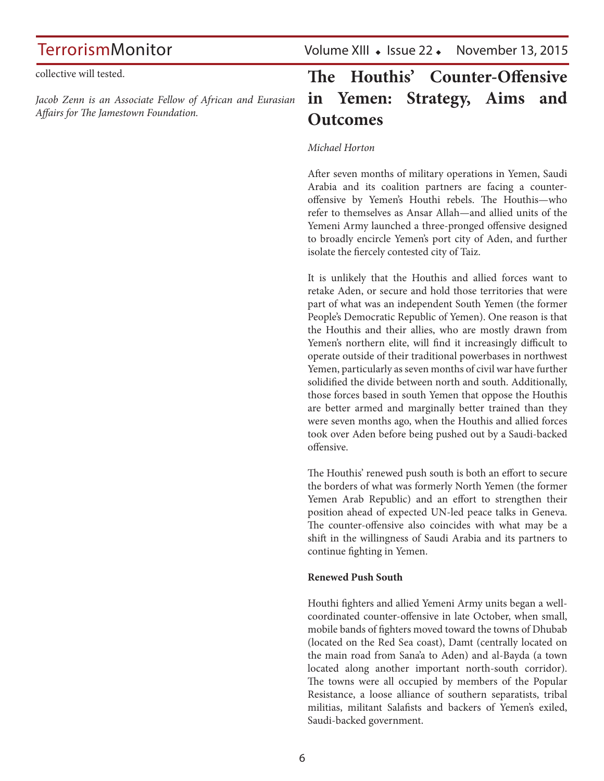TerrorismMonitor Volume XIII • Issue 22 • November 13, 2015

collective will tested.

*Jacob Zenn is an Associate Fellow of African and Eurasian Affairs for The Jamestown Foundation.*

## **The Houthis' Counter-Offensive in Yemen: Strategy, Aims and Outcomes**

### *Michael Horton*

After seven months of military operations in Yemen, Saudi Arabia and its coalition partners are facing a counteroffensive by Yemen's Houthi rebels. The Houthis—who refer to themselves as Ansar Allah—and allied units of the Yemeni Army launched a three-pronged offensive designed to broadly encircle Yemen's port city of Aden, and further isolate the fiercely contested city of Taiz.

It is unlikely that the Houthis and allied forces want to retake Aden, or secure and hold those territories that were part of what was an independent South Yemen (the former People's Democratic Republic of Yemen). One reason is that the Houthis and their allies, who are mostly drawn from Yemen's northern elite, will find it increasingly difficult to operate outside of their traditional powerbases in northwest Yemen, particularly as seven months of civil war have further solidified the divide between north and south. Additionally, those forces based in south Yemen that oppose the Houthis are better armed and marginally better trained than they were seven months ago, when the Houthis and allied forces took over Aden before being pushed out by a Saudi-backed offensive.

The Houthis' renewed push south is both an effort to secure the borders of what was formerly North Yemen (the former Yemen Arab Republic) and an effort to strengthen their position ahead of expected UN-led peace talks in Geneva. The counter-offensive also coincides with what may be a shift in the willingness of Saudi Arabia and its partners to continue fighting in Yemen.

### **Renewed Push South**

Houthi fighters and allied Yemeni Army units began a wellcoordinated counter-offensive in late October, when small, mobile bands of fighters moved toward the towns of Dhubab (located on the Red Sea coast), Damt (centrally located on the main road from Sana'a to Aden) and al-Bayda (a town located along another important north-south corridor). The towns were all occupied by members of the Popular Resistance, a loose alliance of southern separatists, tribal militias, militant Salafists and backers of Yemen's exiled, Saudi-backed government.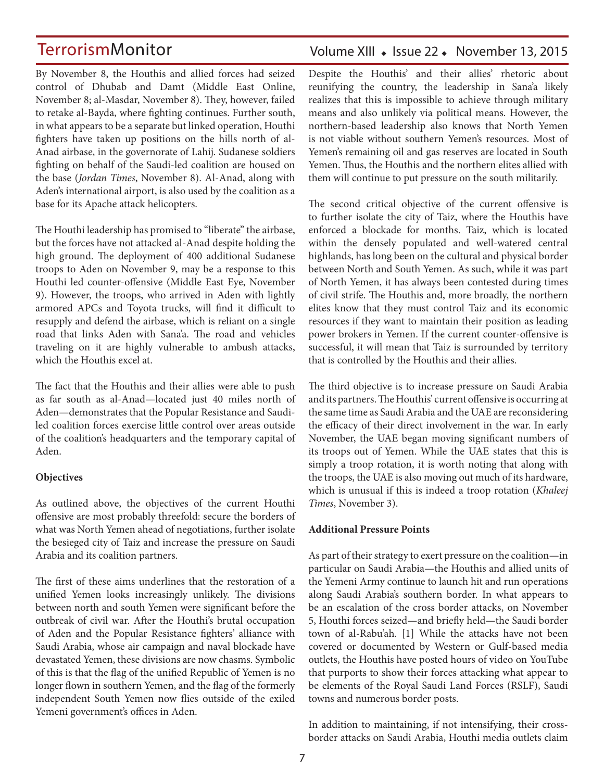By November 8, the Houthis and allied forces had seized control of Dhubab and Damt [\(Middle East Online,](http://www.middle-east-online.com/english/?id=73920) November 8; [al-Masdar](http://almasdaronline.com/article/76822), November 8). They, however, failed to retake al-Bayda, where fighting continues. Further south, in what appears to be a separate but linked operation, Houthi fighters have taken up positions on the hills north of al-Anad airbase, in the governorate of Lahij. Sudanese soldiers fighting on behalf of the Saudi-led coalition are housed on the base (*[Jordan Times](http://www.jordantimes.com/news/region/iran-backed-rebels-retake-positions-south-yemen)*, November 8). Al-Anad, along with Aden's international airport, is also used by the coalition as a base for its Apache attack helicopters.

The Houthi leadership has promised to "liberate" the airbase, but the forces have not attacked al-Anad despite holding the high ground. The deployment of 400 additional Sudanese troops to Aden on November 9, may be a response to this Houthi led counter-offensive ([Middle East Eye](http://www.middleeasteye.net/news/400-more-sudanese-troops-arrive-yemen-1210506015), November 9). However, the troops, who arrived in Aden with lightly armored APCs and Toyota trucks, will find it difficult to resupply and defend the airbase, which is reliant on a single road that links Aden with Sana'a. The road and vehicles traveling on it are highly vulnerable to ambush attacks, which the Houthis excel at.

The fact that the Houthis and their allies were able to push as far south as al-Anad—located just 40 miles north of Aden—demonstrates that the Popular Resistance and Saudiled coalition forces exercise little control over areas outside of the coalition's headquarters and the temporary capital of Aden.

### **Objectives**

As outlined above, the objectives of the current Houthi offensive are most probably threefold: secure the borders of what was North Yemen ahead of negotiations, further isolate the besieged city of Taiz and increase the pressure on Saudi Arabia and its coalition partners.

The first of these aims underlines that the restoration of a unified Yemen looks increasingly unlikely. The divisions between north and south Yemen were significant before the outbreak of civil war. After the Houthi's brutal occupation of Aden and the Popular Resistance fighters' alliance with Saudi Arabia, whose air campaign and naval blockade have devastated Yemen, these divisions are now chasms. Symbolic of this is that the flag of the unified Republic of Yemen is no longer flown in southern Yemen, and the flag of the formerly independent South Yemen now flies outside of the exiled Yemeni government's offices in Aden.

### Volume XIII · Issue 22 · November 13, 2015

Despite the Houthis' and their allies' rhetoric about reunifying the country, the leadership in Sana'a likely realizes that this is impossible to achieve through military means and also unlikely via political means. However, the northern-based leadership also knows that North Yemen is not viable without southern Yemen's resources. Most of Yemen's remaining oil and gas reserves are located in South Yemen. Thus, the Houthis and the northern elites allied with them will continue to put pressure on the south militarily.

The second critical objective of the current offensive is to further isolate the city of Taiz, where the Houthis have enforced a blockade for months. Taiz, which is located within the densely populated and well-watered central highlands, has long been on the cultural and physical border between North and South Yemen. As such, while it was part of North Yemen, it has always been contested during times of civil strife. The Houthis and, more broadly, the northern elites know that they must control Taiz and its economic resources if they want to maintain their position as leading power brokers in Yemen. If the current counter-offensive is successful, it will mean that Taiz is surrounded by territory that is controlled by the Houthis and their allies.

The third objective is to increase pressure on Saudi Arabia and its partners. The Houthis' current offensive is occurring at the same time as Saudi Arabia and the UAE are reconsidering the efficacy of their direct involvement in the war. In early November, the UAE began moving significant numbers of its troops out of Yemen. While the UAE states that this is simply a troop rotation, it is worth noting that along with the troops, the UAE is also moving out much of its hardware, which is unusual if this is indeed a troop rotation (*Khaleej Times*, November 3).

#### **Additional Pressure Points**

As part of their strategy to exert pressure on the coalition—in particular on Saudi Arabia—the Houthis and allied units of the Yemeni Army continue to launch hit and run operations along Saudi Arabia's southern border. In what appears to be an escalation of the cross border attacks, on November 5, Houthi forces seized—and briefly held—the Saudi border town of al-Rabu'ah. [1] While the attacks have not been covered or documented by Western or Gulf-based media outlets, the Houthis have posted hours of video on YouTube that purports to show their forces attacking what appear to be elements of the Royal Saudi Land Forces (RSLF), Saudi towns and numerous border posts.

In addition to maintaining, if not intensifying, their crossborder attacks on Saudi Arabia, Houthi media outlets claim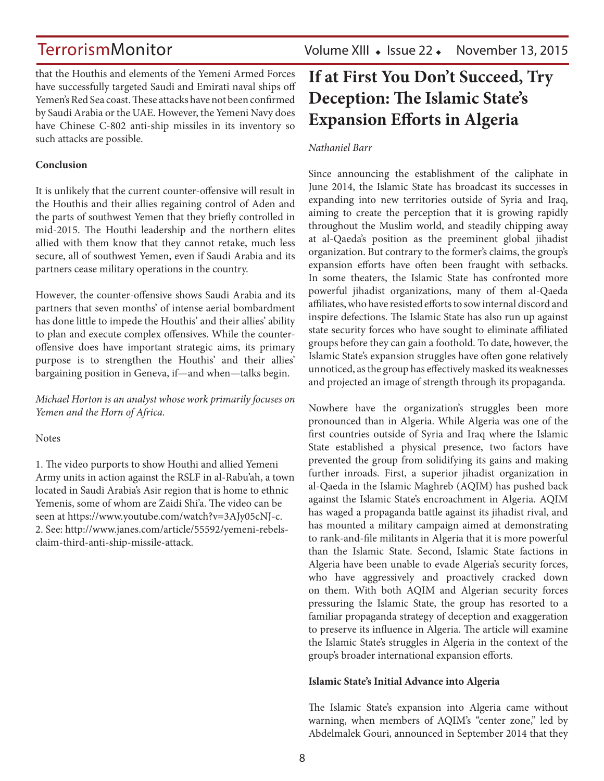TerrorismMonitor Volume XIII • Issue 22 • November 13, 2015

that the Houthis and elements of the Yemeni Armed Forces have successfully targeted Saudi and Emirati naval ships off Yemen's Red Sea coast. These attacks have not been confirmed by Saudi Arabia or the UAE. However, the Yemeni Navy does have Chinese C-802 anti-ship missiles in its inventory so such attacks are possible.

### **Conclusion**

It is unlikely that the current counter-offensive will result in the Houthis and their allies regaining control of Aden and the parts of southwest Yemen that they briefly controlled in mid-2015. The Houthi leadership and the northern elites allied with them know that they cannot retake, much less secure, all of southwest Yemen, even if Saudi Arabia and its partners cease military operations in the country.

However, the counter-offensive shows Saudi Arabia and its partners that seven months' of intense aerial bombardment has done little to impede the Houthis' and their allies' ability to plan and execute complex offensives. While the counteroffensive does have important strategic aims, its primary purpose is to strengthen the Houthis' and their allies' bargaining position in Geneva, if—and when—talks begin.

*Michael Horton is an analyst whose work primarily focuses on Yemen and the Horn of Africa.*

### Notes

1. The video purports to show Houthi and allied Yemeni Army units in action against the RSLF in al-Rabu'ah, a town located in Saudi Arabia's Asir region that is home to ethnic Yemenis, some of whom are Zaidi Shi'a. The video can be seen at [https://www.youtube.com/watch?v=3AJy05cNJ-c.](https://www.youtube.com/watch?v=3AJy05cNJ-c) 2. See: [http://www.janes.com/article/55592/yemeni-rebels](http://www.janes.com/article/55592/yemeni-rebels-claim-third-anti-ship-missile-attack)[claim-third-anti-ship-missile-attack.](http://www.janes.com/article/55592/yemeni-rebels-claim-third-anti-ship-missile-attack)

## **If at First You Don't Succeed, Try Deception: The Islamic State's Expansion Efforts in Algeria**

### *Nathaniel Barr*

Since announcing the establishment of the caliphate in June 2014, the Islamic State has broadcast its successes in expanding into new territories outside of Syria and Iraq, aiming to create the perception that it is growing rapidly throughout the Muslim world, and steadily chipping away at al-Qaeda's position as the preeminent global jihadist organization. But contrary to the former's claims, the group's expansion efforts have often been fraught with setbacks. In some theaters, the Islamic State has confronted more powerful jihadist organizations, many of them al-Qaeda affiliates, who have resisted efforts to sow internal discord and inspire defections. The Islamic State has also run up against state security forces who have sought to eliminate affiliated groups before they can gain a foothold. To date, however, the Islamic State's expansion struggles have often gone relatively unnoticed, as the group has effectively masked its weaknesses and projected an image of strength through its propaganda.

Nowhere have the organization's struggles been more pronounced than in Algeria. While Algeria was one of the first countries outside of Syria and Iraq where the Islamic State established a physical presence, two factors have prevented the group from solidifying its gains and making further inroads. First, a superior jihadist organization in al-Qaeda in the Islamic Maghreb (AQIM) has pushed back against the Islamic State's encroachment in Algeria. AQIM has waged a propaganda battle against its jihadist rival, and has mounted a military campaign aimed at demonstrating to rank-and-file militants in Algeria that it is more powerful than the Islamic State. Second, Islamic State factions in Algeria have been unable to evade Algeria's security forces, who have aggressively and proactively cracked down on them. With both AQIM and Algerian security forces pressuring the Islamic State, the group has resorted to a familiar propaganda strategy of deception and exaggeration to preserve its influence in Algeria. The article will examine the Islamic State's struggles in Algeria in the context of the group's broader international expansion efforts.

### **Islamic State's Initial Advance into Algeria**

The Islamic State's expansion into Algeria came without warning, when members of AQIM's "center zone," led by Abdelmalek Gouri, announced in September 2014 that they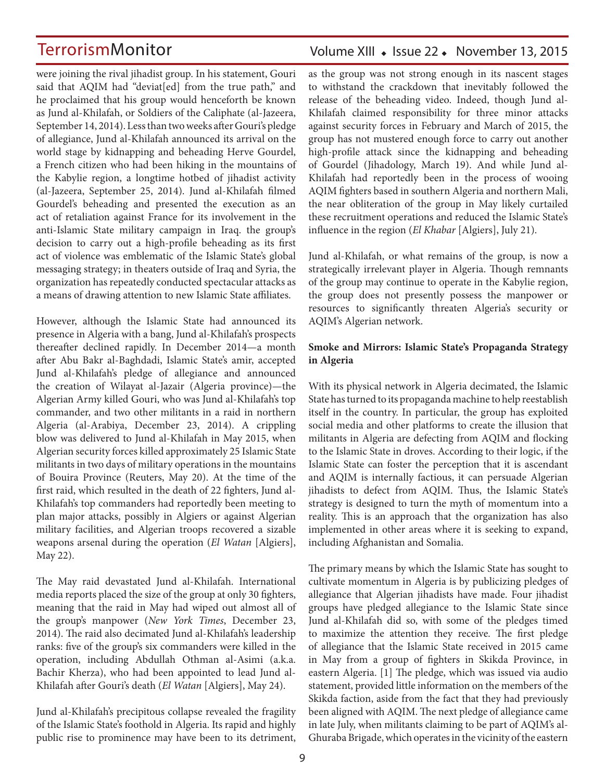were joining the rival jihadist group. In his statement, Gouri said that AQIM had "deviat[ed] from the true path," and he proclaimed that his group would henceforth be known as Jund al-Khilafah, or Soldiers of the Caliphate ([al-Jazeera](http://www.aljazeera.com/news/middleeast/2014/09/algeria-al-qaeda-defectors-join-group-201491412191159416.html), September 14, 2014). Less than two weeks after Gouri's pledge of allegiance, Jund al-Khilafah announced its arrival on the world stage by kidnapping and beheading Herve Gourdel, a French citizen who had been hiking in the mountains of the Kabylie region, a longtime hotbed of jihadist activity ([al-Jazeera](http://www.aljazeera.com/news/middleeast/2014/09/algeria-fighters-behead-abducted-frenchman-2014924153845171677.html), September 25, 2014). Jund al-Khilafah filmed Gourdel's beheading and presented the execution as an act of retaliation against France for its involvement in the anti-Islamic State military campaign in Iraq. the group's decision to carry out a high-profile beheading as its first act of violence was emblematic of the Islamic State's global messaging strategy; in theaters outside of Iraq and Syria, the organization has repeatedly conducted spectacular attacks as a means of drawing attention to new Islamic State affiliates.

However, although the Islamic State had announced its presence in Algeria with a bang, Jund al-Khilafah's prospects thereafter declined rapidly. In December 2014—a month after Abu Bakr al-Baghdadi, Islamic State's amir, accepted Jund al-Khilafah's pledge of allegiance and announced the creation of Wilayat al-Jazair (Algeria province)—the Algerian Army killed Gouri, who was Jund al-Khilafah's top commander, and two other militants in a raid in northern Algeria [\(al-Arabiya](http://english.alarabiya.net/en/News/middle-east/2014/12/23/Algeria-troops-kill-chief-militant-behind-Frenchman-s-murder-.html), December 23, 2014). A crippling blow was delivered to Jund al-Khilafah in May 2015, when Algerian security forces killed approximately 25 Islamic State militants in two days of military operations in the mountains of Bouira Province ([Reuters](http://www.reuters.com/article/2015/05/20/algeria-security-idUSL5N0YB4KH20150520), May 20). At the time of the first raid, which resulted in the death of 22 fighters, Jund al-Khilafah's top commanders had reportedly been meeting to plan major attacks, possibly in Algiers or against Algerian military facilities, and Algerian troops recovered a sizable weapons arsenal during the operation (*[El Watan](http://www.elwatan.com/actualite/terrorisme-les-details-de-l-operation-de-bouira-22-05-2015-295360_109.php)* [Algiers], May 22).

The May raid devastated Jund al-Khilafah. International media reports placed the size of the group at only 30 fighters, meaning that the raid in May had wiped out almost all of the group's manpower (*[New York Times](http://www.nytimes.com/2014/12/24/world/africa/algerian-army-kills-militant-leader-linked-to-beheading-of-french-hostage.html?_r=0)*, December 23, 2014). The raid also decimated Jund al-Khilafah's leadership ranks: five of the group's six commanders were killed in the operation, including Abdullah Othman al-Asimi (a.k.a. Bachir Kherza), who had been appointed to lead Jund al-Khilafah after Gouri's death (*[El Watan](http://www.elwatan.com/actualite/message-inquietant-d-un-sympathisant-de-l-ei-a-alger-24-05-2015-295545_109.php)* [Algiers], May 24).

Jund al-Khilafah's precipitous collapse revealed the fragility of the Islamic State's foothold in Algeria. Its rapid and highly public rise to prominence may have been to its detriment,

### Volume XIII · Issue 22 · November 13, 2015

as the group was not strong enough in its nascent stages to withstand the crackdown that inevitably followed the release of the beheading video. Indeed, though Jund al-Khilafah claimed responsibility for three minor attacks against security forces in February and March of 2015, the group has not mustered enough force to carry out another high-profile attack since the kidnapping and beheading of Gourdel (Jihadology, March 19). And while Jund al-Khilafah had reportedly been in the process of wooing AQIM fighters based in southern Algeria and northern Mali, the near obliteration of the group in May likely curtailed these recruitment operations and reduced the Islamic State's influence in the region (*El Khabar* [Algiers], July 21).

Jund al-Khilafah, or what remains of the group, is now a strategically irrelevant player in Algeria. Though remnants of the group may continue to operate in the Kabylie region, the group does not presently possess the manpower or resources to significantly threaten Algeria's security or AQIM's Algerian network.

### **Smoke and Mirrors: Islamic State's Propaganda Strategy in Algeria**

With its physical network in Algeria decimated, the Islamic State has turned to its propaganda machine to help reestablish itself in the country. In particular, the group has exploited social media and other platforms to create the illusion that militants in Algeria are defecting from AQIM and flocking to the Islamic State in droves. According to their logic, if the Islamic State can foster the perception that it is ascendant and AQIM is internally factious, it can persuade Algerian jihadists to defect from AQIM. Thus, the Islamic State's strategy is designed to turn the myth of momentum into a reality. This is an approach that the organization has also implemented in other areas where it is seeking to expand, including Afghanistan and Somalia.

The primary means by which the Islamic State has sought to cultivate momentum in Algeria is by publicizing pledges of allegiance that Algerian jihadists have made. Four jihadist groups have pledged allegiance to the Islamic State since Jund al-Khilafah did so, with some of the pledges timed to maximize the attention they receive. The first pledge of allegiance that the Islamic State received in 2015 came in May from a group of fighters in Skikda Province, in eastern Algeria. [1] The pledge, which was issued via audio statement, provided little information on the members of the Skikda faction, aside from the fact that they had previously been aligned with AQIM. The next pledge of allegiance came in late July, when militants claiming to be part of AQIM's al-Ghuraba Brigade, which operates in the vicinity of the eastern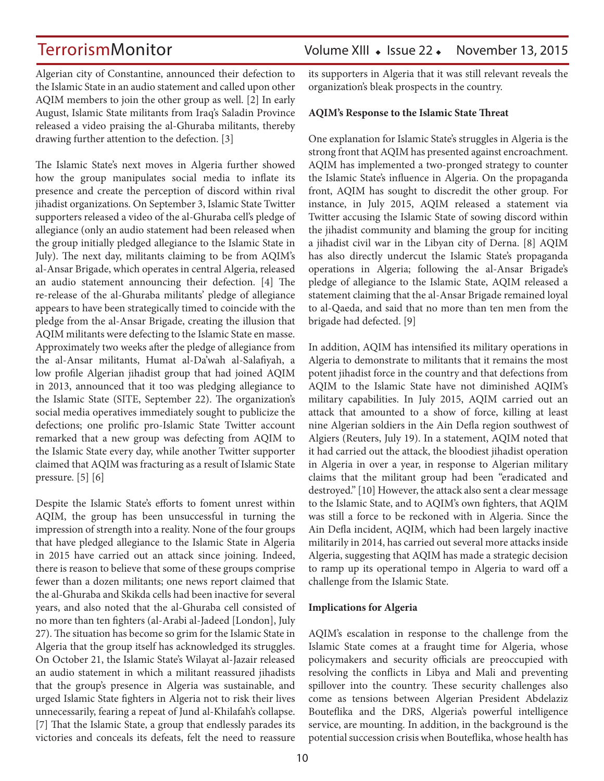Algerian city of Constantine, announced their defection to the Islamic State in an audio statement and called upon other AQIM members to join the other group as well. [2] In early August, Islamic State militants from Iraq's Saladin Province released a video praising the al-Ghuraba militants, thereby drawing further attention to the defection. [3]

The Islamic State's next moves in Algeria further showed how the group manipulates social media to inflate its presence and create the perception of discord within rival jihadist organizations. On September 3, Islamic State Twitter supporters released a video of the al-Ghuraba cell's pledge of allegiance (only an audio statement had been released when the group initially pledged allegiance to the Islamic State in July). The next day, militants claiming to be from AQIM's al-Ansar Brigade, which operates in central Algeria, released an audio statement announcing their defection. [4] The re-release of the al-Ghuraba militants' pledge of allegiance appears to have been strategically timed to coincide with the pledge from the al-Ansar Brigade, creating the illusion that AQIM militants were defecting to the Islamic State en masse. Approximately two weeks after the pledge of allegiance from the al-Ansar militants, Humat al-Da'wah al-Salafiyah, a low profile Algerian jihadist group that had joined AQIM in 2013, announced that it too was pledging allegiance to the Islamic State ([SITE](https://ent.siteintelgroup.com/Multimedia/aqim-division-pledges-allegiance-to-is-leader-baghdadi-in-video.html), September 22). The organization's social media operatives immediately sought to publicize the defections; one prolific pro-Islamic State Twitter account remarked that a new group was defecting from AQIM to the Islamic State every day, while another Twitter supporter claimed that AQIM was fracturing as a result of Islamic State pressure. [5] [6]

Despite the Islamic State's efforts to foment unrest within AQIM, the group has been unsuccessful in turning the impression of strength into a reality. None of the four groups that have pledged allegiance to the Islamic State in Algeria in 2015 have carried out an attack since joining. Indeed, there is reason to believe that some of these groups comprise fewer than a dozen militants; one news report claimed that the al-Ghuraba and Skikda cells had been inactive for several years, and also noted that the al-Ghuraba cell consisted of no more than ten fighters [\(al-Arabi al-Jadeed](http://www.alaraby.co.uk/politics/2015/7/26/%D9%85%D8%AC%D9%85%D9%88%D8%B9%D8%A7%D8%AA-%D8%AF%D8%A7%D8%B9%D8%B4-%D9%81%D9%8A-%D8%A7%D9%84%D8%AC%D8%B2%D8%A7%D8%A6%D8%B1-%D8%B8%D8%A7%D9%87%D8%B1%D8%A9-%D8%B5%D9%88%D8%AA%D9%8A%D8%A9) [London], July 27). The situation has become so grim for the Islamic State in Algeria that the group itself has acknowledged its struggles. On October 21, the Islamic State's Wilayat al-Jazair released an audio statement in which a militant reassured jihadists that the group's presence in Algeria was sustainable, and urged Islamic State fighters in Algeria not to risk their lives unnecessarily, fearing a repeat of Jund al-Khilafah's collapse. [7] That the Islamic State, a group that endlessly parades its victories and conceals its defeats, felt the need to reassure

its supporters in Algeria that it was still relevant reveals the organization's bleak prospects in the country.

### **AQIM's Response to the Islamic State Threat**

One explanation for Islamic State's struggles in Algeria is the strong front that AQIM has presented against encroachment. AQIM has implemented a two-pronged strategy to counter the Islamic State's influence in Algeria. On the propaganda front, AQIM has sought to discredit the other group. For instance, in July 2015, AQIM released a statement via Twitter accusing the Islamic State of sowing discord within the jihadist community and blaming the group for inciting a jihadist civil war in the Libyan city of Derna. [8] AQIM has also directly undercut the Islamic State's propaganda operations in Algeria; following the al-Ansar Brigade's pledge of allegiance to the Islamic State, AQIM released a statement claiming that the al-Ansar Brigade remained loyal to al-Qaeda, and said that no more than ten men from the brigade had defected. [9]

In addition, AQIM has intensified its military operations in Algeria to demonstrate to militants that it remains the most potent jihadist force in the country and that defections from AQIM to the Islamic State have not diminished AQIM's military capabilities. In July 2015, AQIM carried out an attack that amounted to a show of force, killing at least nine Algerian soldiers in the Ain Defla region southwest of Algiers ([Reuters](http://uk.reuters.com/article/2015/07/19/uk-algeria-security-idUKKCN0PT0AV20150719), July 19). In a statement, AQIM noted that it had carried out the attack, the bloodiest jihadist operation in Algeria in over a year, in response to Algerian military claims that the militant group had been "eradicated and destroyed." [10] However, the attack also sent a clear message to the Islamic State, and to AQIM's own fighters, that AQIM was still a force to be reckoned with in Algeria. Since the Ain Defla incident, AQIM, which had been largely inactive militarily in 2014, has carried out several more attacks inside Algeria, suggesting that AQIM has made a strategic decision to ramp up its operational tempo in Algeria to ward off a challenge from the Islamic State.

### **Implications for Algeria**

AQIM's escalation in response to the challenge from the Islamic State comes at a fraught time for Algeria, whose policymakers and security officials are preoccupied with resolving the conflicts in Libya and Mali and preventing spillover into the country. These security challenges also come as tensions between Algerian President Abdelaziz Bouteflika and the DRS, Algeria's powerful intelligence service, are mounting. In addition, in the background is the potential succession crisis when Bouteflika, whose health has